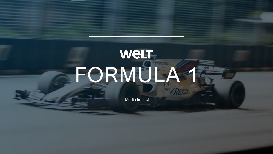# weLT-FORMULA 1 Media Impact

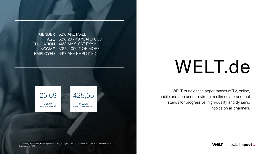WELT bundles the appearances of TV, online, mobile and app under a strong, multimedia brand that stands for progressive, high-quality and dynamic topics on all channels.

**WeLT** | media impact\_

MILLION UNIQUE USER<sup>1</sup>

# WELT.de

52% ARE MALE 52% 20 - 49 YEARS OLD AGE EDUCATION 44% MAX. SAT EXAM INCOME  $30\%$  4.000  $\in$  OR MORE 69% ARE EMPLOYED GENDER EMPLOYED

1AGOF daily digital facts, basis: digital WNK 16+ years (61,17 M); single month January 2021; called on: 08.02.2021<br>20.44/ January 2021 2 IVW January 2021

25,69

### 425,55

MILLION PAGE IMPRESSIONS<sup>2</sup>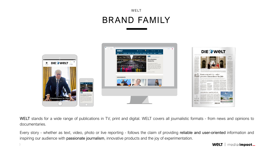**WeLT** | media impact\_

### WELT BRAND FAMILY



WELT stands for a wide range of publications in TV, print and digital. WELT covers all journalistic formats - from news and opinions to documentaries.

Every story - whether as text, video, photo or live reporting - follows the claim of providing reliable and user-oriented information and inspiring our audience with passionate journalism, innovative products and the joy of experimentation.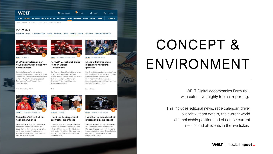WELT Digital accompanies Formula 1 with extensive, highly topical reporting.

This includes editorial news, race calendar, driver overview, team details, the current world championship position and of course current results and all events in the live ticker.

**WeLT** | media impact\_

# CONCEPT & ENVIRONMENT



### **FORMEL 1**

BUNDESLIGA 2. LIGA CHAMPIONS LEAGUE EM 2020 DFB-POKAL TENNIS FORMEL1 FITNESS LIVE-TICKER ERGEBNISSE & TABELLEN



SPORT FORMEL1

### Die Präsentationen der neuen Rennwagen sind nur **PR-Nummern**

Es ist ein Schaulaufen mit großem Tamtam: Die Präsentationen der Formel-1-Wagen für die kommende Saison haben in dieser Woche für Aufsehen gesorgt. Aber auch zu Recht? Was wirklich dahintersteckt.

Burkhard Nuppeney 图 11



SPORT NOCH KEIN ERSATZTERMIN

### Formel 1 verschiebt Ching-Rennen wegen Coronavirus

Der Formel-1-Grand Prix in Shanghai am 19. April wird verschoben. Auch ein zweites Rennen steht auf dem Prüfstand. Bei Ferrari verliert Ex-Champion Sebastian Vettel endgültig seinen Nummer-eins-Status.



**SPORT** HAMBACHER FORST

Rouven Chlebna

### **Michael Schumachers** legendäre Kartbahn gerettet

Das Grundstück war bereits verkauft, der Erftlandring stand vor dem Aus. Doch es geht auf Michael Schumachers Heimatbahn offenbar weiter. Die Proteste am Hambacher Forst waren die Rettung für die Kartfahrer.



FORMEL 1 FERRARI VOR UMBRUCH

### Sebastian Vettel hat nur noch eine Chance

Sebastian Vettel fährt die schlechteste Saison seit Jahren. Die Luft für den Deutschen wird immer dünner, vor allem die Emotionen sind Ferraris großes Problem. Ausgerechnet Lewis Hamilton sitzt ihm nun im Nocken.



FORMEL1 FERRARI

图 2

### Hamilton liebäugelt mit der Vettel-Nachfolge

Lewis Hamilton wird zum sechsten Mal Formel-1-Weltmeister. Sebastian Vettel schneidet hingegen so schlecht ab wie noch nie im Ferrari. Der Brite macht sich nun Gedanken über seine Zukunft. Sie könnte rot sein.



SPORT FORMEL 1 IN ABU DHABI

### Hamilton demonstriert ein letztes Mal seine Macht

Weltmeister Lewis Hamilton hat seinen 250. Grand Prix veredeln können. Der Mercedes-Pilot gewann auch das letzte Rennen der Saison in Abu Dhabi. Er holte damit sogar mehr Punkte als in der vergangenen Saison.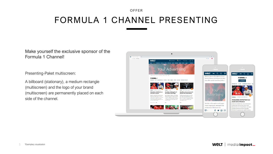Presenting-Paket multiscreen:

A billboard (stationary), a medium rectangle (multiscreen) and the logo of your brand (multiscreen) are permanently placed on each side of the channel.

Make yourself the exclusive sponsor of the Formula 1 Channel!

## FORMULA 1 CHANNEL PRESENTING

### OFFER



**WeLT** | media *impact*\_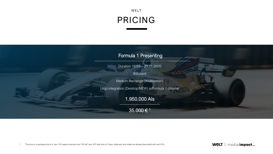## WELT PRICING



Duration 15.03. - 29.11.2020

**Billboard** 

Medium Rectangle (multiscreen)

Logo integration (Desktop/MEW) in Formula 1 channel

### Formula 1 Presenting

### 1.950.000 AIs

### 35.000 € 1

**WeLT** | media *impact\_*